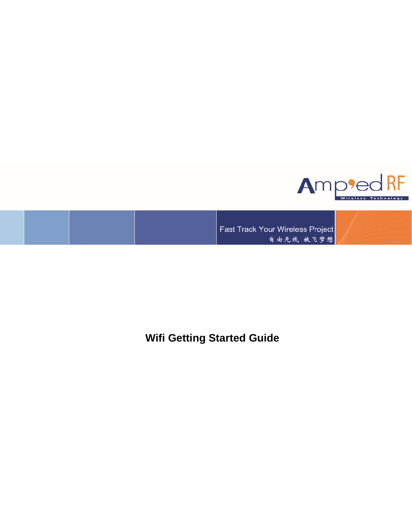

Fast Track Your Wireless Project 自由无线 放飞梦想

**Wifi Getting Started Guide**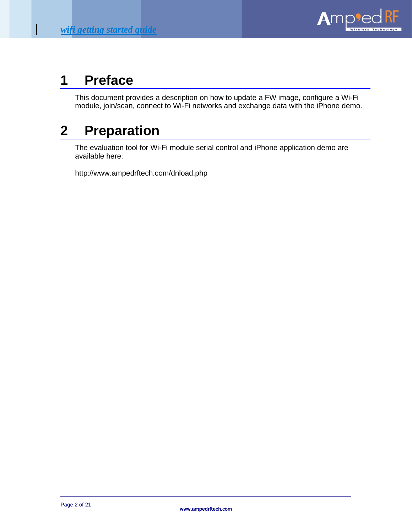

## **1 Preface**

This document provides a description on how to update a FW image, configure a Wi-Fi module, join/scan, connect to Wi-Fi networks and exchange data with the iPhone demo.

# **2 Preparation**

The evaluation tool for Wi-Fi module serial control and iPhone application demo are available here:

http://www.ampedrftech.com/dnload.php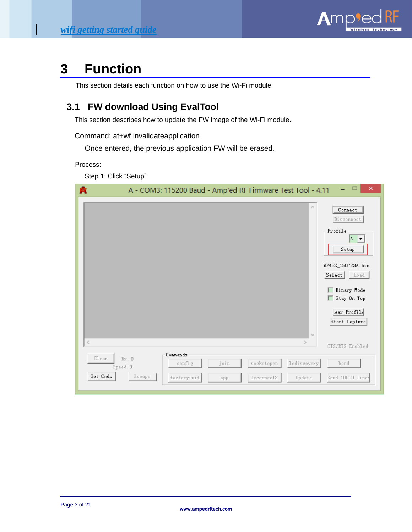

## **3 Function**

This section details each function on how to use the Wi-Fi module.

## **3.1 FW download Using EvalTool**

This section describes how to update the FW image of the Wi-Fi module.

Command: at+wf invalidateapplication

Once entered, the previous application FW will be erased.

Process:

Step 1: Click "Setup".

| 噟                 |                            | A - COM3: 115200 Baud - Amp'ed RF Firmware Test Tool - 4.11 |             |                          |                                        | ×                                                                                                                                                                          |
|-------------------|----------------------------|-------------------------------------------------------------|-------------|--------------------------|----------------------------------------|----------------------------------------------------------------------------------------------------------------------------------------------------------------------------|
|                   |                            |                                                             |             |                          | $\rho_{\rm{B}}$<br>$\lambda_{\rm D} t$ | Connect<br>Disconnect<br>Profile<br>A T<br>${\tt Setup}$<br>WF43S_150723A.bin<br>S <sub>elect</sub><br>Load<br>Binary Mode<br>Stay On Top<br>.ear Profil.<br>Start Capture |
| $\leq$            |                            |                                                             |             |                          | $\geq$                                 | CTS/RTS Enabled                                                                                                                                                            |
| Clear<br>Set Cmds | Rx: 0<br>Speed:0<br>Escape | Commands<br>config<br>factoryinit                           | join<br>spp | socketopen<br>leconnect2 | lediscovery<br>Update                  | bond<br>Send 10000 lines                                                                                                                                                   |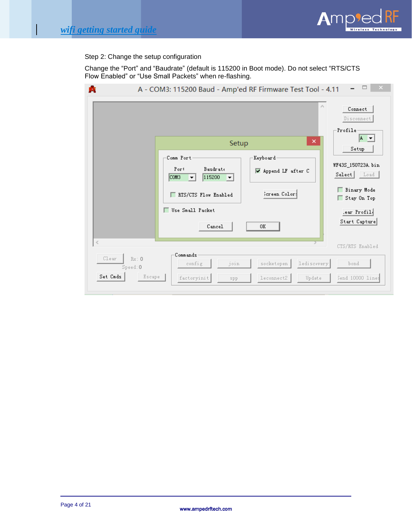

Step 2: Change the setup configuration

Change the "Port" and "Baudrate" (default is 115200 in Boot mode). Do not select "RTS/CTS Flow Enabled" or "Use Small Packets" when re-flashing.

|                                                          | A - COM3: 115200 Baud - Amp'ed RF Firmware Test Tool - 4.11<br>Setup<br>Comm Port<br>Baudrate<br>Port<br>115200<br>COM <sub>3</sub><br>$ \mathbf{v} $<br>−<br>RTS/CTS Flow Enabled<br>г | $\beta_1$<br>×<br>Keyboard<br>V Append LF after C<br>Screen Color: | Connect<br>Disconnect<br>Profile<br>$A -$<br>Setup<br>WF43S_150723A.bin<br>S <sub>elect</sub><br>Load<br>Binary Mode<br>Stay On Top |
|----------------------------------------------------------|-----------------------------------------------------------------------------------------------------------------------------------------------------------------------------------------|--------------------------------------------------------------------|-------------------------------------------------------------------------------------------------------------------------------------|
|                                                          | Use Small Packet<br>Cancel                                                                                                                                                              | 0K                                                                 | .ear Profil.<br>Start Capture                                                                                                       |
| $\,<$<br>Clear<br>Rx:0<br>Speed: 0<br>Set Cmds<br>Escape | Commands<br>join<br>config<br>factoryinit<br>spp                                                                                                                                        | lediscovery<br>socketopen<br>leconnect2<br>Update                  | CTS/RTS Enabled<br>bond<br>Send 10000 lines                                                                                         |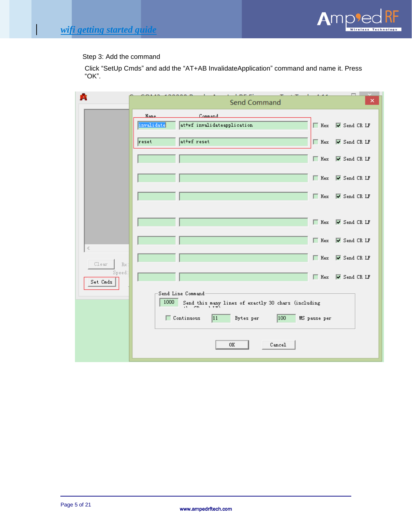

Step 3: Add the command

Click "SetUp Cmds" and add the "AT+AB InvalidateApplication" command and name it. Press "OK".

| ŔΕ                 | $1 - 1 - 1$<br>$\sim$<br>$\overline{a}$<br>$\lambda$<br>Send Command                                                                                                                 | $\Box$<br>×                           |
|--------------------|--------------------------------------------------------------------------------------------------------------------------------------------------------------------------------------|---------------------------------------|
|                    | Command<br><b>Name</b><br>attwf invalidateapplication<br>invalidate<br>$\Box$ Hex                                                                                                    | $\overline{\triangledown}$ Send CR LF |
|                    | at+wf reset<br>reset<br>$\Box$ Hex                                                                                                                                                   | $\overline{\triangledown}$ Send CR LF |
|                    | $\Box$ Hex                                                                                                                                                                           | $\overline{\triangledown}$ Send CR LF |
|                    | $\Box$ Hex                                                                                                                                                                           | $\overline{\triangledown}$ Send CR LF |
|                    | $\Box$ Hex                                                                                                                                                                           | $\overline{\triangledown}$ Send CR LF |
|                    |                                                                                                                                                                                      | Hex V Send CR LF                      |
| ∢                  | $\Box$ Hex                                                                                                                                                                           | $\overline{\triangledown}$ Send CR LF |
| Clear<br>Rx:       | $\Box$ Hex                                                                                                                                                                           | V Send CR LF                          |
| Speed:<br>Set Cmds | $\Box$ Hex                                                                                                                                                                           | $\overline{\triangledown}$ Send CR LF |
|                    | Send Line Command<br>1000<br>Send this many lines of exactly 30 chars (including<br>$\therefore$ CD = 1.72)<br> 11<br>Continuous<br>100<br>MS pause per<br>Bytes per<br>0K<br>Cancel |                                       |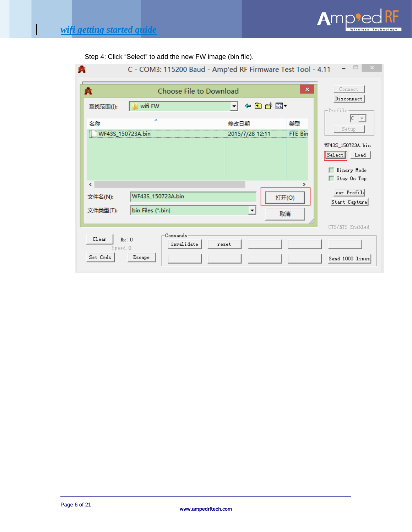$\overline{\phantom{a}}$ 



| Step 4: Click "Select" to add the new FW image (bin file). |  |
|------------------------------------------------------------|--|
|                                                            |  |

| 噟                   |                                        | C - COM3: 115200 Baud - Amp'ed RF Firmware Test Tool - 4.11 |                                  |
|---------------------|----------------------------------------|-------------------------------------------------------------|----------------------------------|
| 噟                   | Choose File to Download                | ×                                                           | Connect<br>Disconnect            |
| 查找范围(I):            | wifi FW                                | ←自び囲▼<br>$\mathbf{r}$                                       | $-$ Profile-                     |
| 名称                  | ×<br>WF43S_150723A.bin                 | 类型<br>修改日期<br>FTE Bin<br>2015/7/28 12:11                    | IC.<br>Setup                     |
|                     |                                        |                                                             | WF43S_150723A.bin<br>Select Load |
| ∢                   |                                        |                                                             | Binary Mode<br>Stay On Top       |
| 文件名(N):<br>文件类型(T): | WF43S_150723A.bin<br>bin Files (*.bin) | 打开(O)<br>$\blacktriangledown$<br>取消                         | lear Profil.<br>Start Capture    |
| Clear<br>Speed: 0   | Commands<br>Rx: 0<br>invalidate        | reset                                                       | CTS/RTS Enabled                  |
| Set Cmds            | Escape                                 |                                                             | Send 1000 lines                  |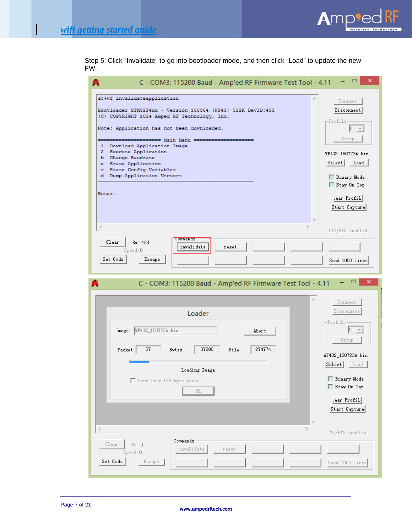$\overline{\phantom{a}}$ 



Step 5: Click "Invalidate" to go into bootloader mode, and then click "Load" to update the new FW.

| . .                                                                                                                                                                                                                                                                                                                                                                                                            |                                                                                                                                                                                        |
|----------------------------------------------------------------------------------------------------------------------------------------------------------------------------------------------------------------------------------------------------------------------------------------------------------------------------------------------------------------------------------------------------------------|----------------------------------------------------------------------------------------------------------------------------------------------------------------------------------------|
| C - COM3: 115200 Baud - Amp'ed RF Firmware Test Tool - 4.11<br>ЮF                                                                                                                                                                                                                                                                                                                                              | ▭<br>×                                                                                                                                                                                 |
| at+wf invalidateapplication<br>Bootloader STM32F4xx - Version 150304 (WF43) 512K DevID:433<br>(C) COPYRIGHT 2014 Amped RF Technology, Inc.<br>Note: Application has not been downloaded.<br>========= Main Menu =====<br>Download Application Image<br>1<br><b>Execute Application</b><br>2<br>b Change Baudrate<br>e Erase Application<br>v Erase Config Variables<br>Dump Application Vectors<br>d<br>Enter: | Connect<br>Disconnect<br>-Profile<br>Iс<br>$\overline{\phantom{a}}$<br>Setup<br>WF43S_150723A.bin<br>Select  <br>Load<br>Binary Mode<br>Stay On Top<br>lear Profil<br>Start Capture    |
| ∢<br>Commands:<br>Clear<br>Rx: 433<br>invalidate<br>reset<br>Speed: 0<br>Set Cmds<br>Escape<br>C - COM3: 115200 Baud - Amp'ed RF Firmware Test Tool - 4.11<br>Œ                                                                                                                                                                                                                                                | CTS/RTS Enabled<br>Send 1000 lines<br>×<br>▭                                                                                                                                           |
|                                                                                                                                                                                                                                                                                                                                                                                                                |                                                                                                                                                                                        |
| Loader<br>Image: WF43S_150723A.bin<br>Abort<br>37888<br>274774<br>37<br>File<br>Packet:<br>Bytes<br>Loading Image<br>Send Only 128 byte pack-<br>0K                                                                                                                                                                                                                                                            | Connect<br>Disconnect<br>Profile <sup>.</sup><br>IC.<br>Setup<br>WF43S_150723A.bin<br>Select   Load<br>Binary Mode<br>Stay On Top<br>.ear Profil<br>Start Capture<br>$\lambda_{\rm p}$ |
| ≤                                                                                                                                                                                                                                                                                                                                                                                                              | CTS/RTS Enabled                                                                                                                                                                        |
| Commands<br>Clear<br>Rx:0<br>invalidate<br>reset<br>Speed: 0<br>Set Cmds<br>Escape                                                                                                                                                                                                                                                                                                                             | Send 1000 lines                                                                                                                                                                        |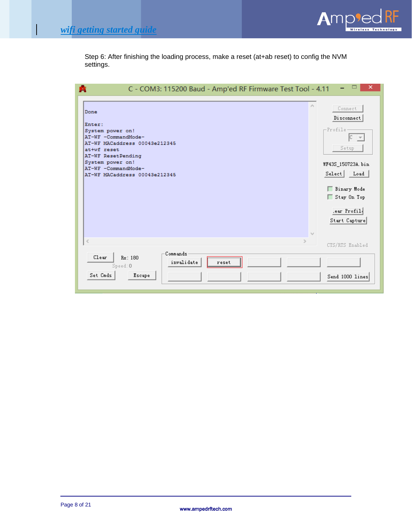$\mathsf{l}$ 



Step 6: After finishing the loading process, make a reset (at+ab reset) to config the NVM settings.

| C - COM3: 115200 Baud - Amp'ed RF Firmware Test Tool - 4.11                                                                                                                                                           | ×                                                                                                                                                                                                                       |
|-----------------------------------------------------------------------------------------------------------------------------------------------------------------------------------------------------------------------|-------------------------------------------------------------------------------------------------------------------------------------------------------------------------------------------------------------------------|
| Done<br>Enter:<br>System power on!<br>AT-WF -CommandMode-<br>AT-WF MACaddress 00043e212345<br>at+wf reset<br>AT-WF ResetPending<br>System power on!<br>AT-WF -CommandMode-<br>AT-WF MACaddress 00043e212345<br>$\leq$ | Connect<br>Disconnect<br>$-$ Profile<br>$ {\tt C}^- $ $\neq$<br>Setup<br>WF43S_150723A.bin<br>Select Load<br>Binary Mode<br>Stay On Top<br>lear Profil.<br>Start Capture<br>$\lambda_{\rm eff}$<br>ъ<br>CTS/RTS Enabled |
| Commands<br>Clear<br>Rx: 180<br>invalidate<br>reset<br>Speed: 0<br>Set Cmds<br>Escape                                                                                                                                 | Send 1000 lines                                                                                                                                                                                                         |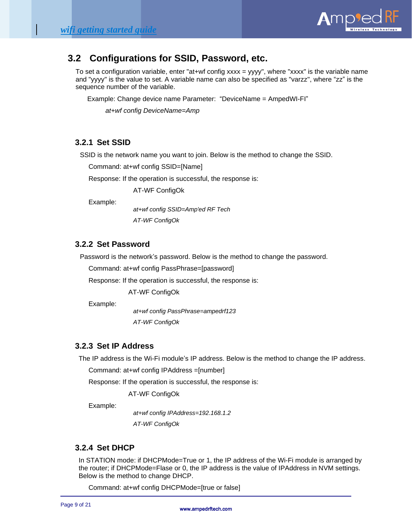

## **3.2 Configurations for SSID, Password, etc.**

To set a configuration variable, enter "at+wf config xxxx = yyyy", where "xxxx" is the variable name and "yyyy" is the value to set. A variable name can also be specified as "varzz", where "zz" is the sequence number of the variable.

Example: Change device name Parameter: "DeviceName = AmpedWI-FI"

 *at+wf config DeviceName=Amp*

### **3.2.1 Set SSID**

SSID is the network name you want to join. Below is the method to change the SSID.

Command: at+wf config SSID=[Name]

Response: If the operation is successful, the response is:

AT-WF ConfigOk

Example:

*at+wf config SSID=Amp'ed RF Tech AT-WF ConfigOk*

### **3.2.2 Set Password**

Password is the network's password. Below is the method to change the password.

Command: at+wf config PassPhrase=[password]

Response: If the operation is successful, the response is:

AT-WF ConfigOk

Example:

*at+wf config PassPhrase=ampedrf123 AT-WF ConfigOk*

#### **3.2.3 Set IP Address**

The IP address is the Wi-Fi module's IP address. Below is the method to change the IP address.

Command: at+wf config IPAddress =[number]

Response: If the operation is successful, the response is:

AT-WF ConfigOk

Example:

*at+wf config IPAddress=192.168.1.2 AT-WF ConfigOk*

#### **3.2.4 Set DHCP**

In STATION mode: if DHCPMode=True or 1, the IP address of the Wi-Fi module is arranged by the router; if DHCPMode=Flase or 0, the IP address is the value of IPAddress in NVM settings. Below is the method to change DHCP.

Command: at+wf config DHCPMode=[true or false]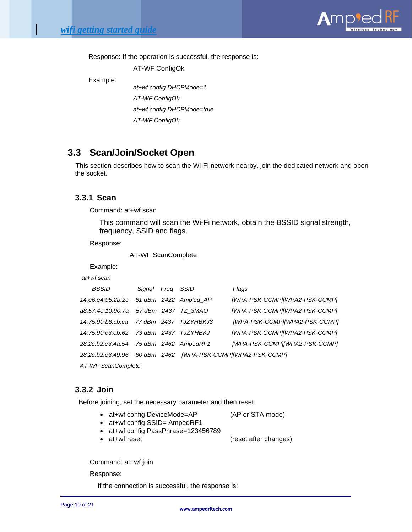

Response: If the operation is successful, the response is:

AT-WF ConfigOk

Example:

*at+wf config DHCPMode=1 AT-WF ConfigOk at+wf config DHCPMode=true AT-WF ConfigOk*

## **3.3 Scan/Join/Socket Open**

This section describes how to scan the Wi-Fi network nearby, join the dedicated network and open the socket.

## **3.3.1 Scan**

Command: at+wf scan

This command will scan the Wi-Fi network, obtain the BSSID signal strength, frequency, SSID and flags.

Response:

AT-WF ScanComplete

Example:

#### *at+wf scan*

| <b>BSSID</b>                             | Signal Freg SSID |  | Flags                                                               |
|------------------------------------------|------------------|--|---------------------------------------------------------------------|
| 14:e6:e4:95:2b:2c -61 dBm 2422 Amp'ed AP |                  |  | [WPA-PSK-CCMP][WPA2-PSK-CCMP]                                       |
| a8:57:4e:10:90:7a -57 dBm 2437 TZ 3MAO   |                  |  | [WPA-PSK-CCMP][WPA2-PSK-CCMP]                                       |
| 14:75:90:b8:cb:ca -77 dBm 2437 TJZYHBKJ3 |                  |  | [WPA-PSK-CCMP][WPA2-PSK-CCMP]                                       |
| 14:75:90:c3:eb:62 -73 dBm 2437 TJZYHBKJ  |                  |  | [WPA-PSK-CCMP][WPA2-PSK-CCMP]                                       |
| 28:2c:b2:e3:4a:54 -75 dBm 2462 AmpedRF1  |                  |  | [WPA-PSK-CCMP][WPA2-PSK-CCMP]                                       |
|                                          |                  |  | 28:2c:b2:e3:49:96   -60 dBm   2462    [WPA-PSK-CCMP][WPA2-PSK-CCMP] |
| AT-WF ScanComplete                       |                  |  |                                                                     |

#### **3.3.2 Join**

Before joining, set the necessary parameter and then reset.

• at+wf config DeviceMode=AP (AP or STA mode)

- at+wf config SSID= AmpedRF1
- at+wf config PassPhrase=123456789
- 

• at+wf reset (reset after changes)

Command: at+wf join

Response:

If the connection is successful, the response is: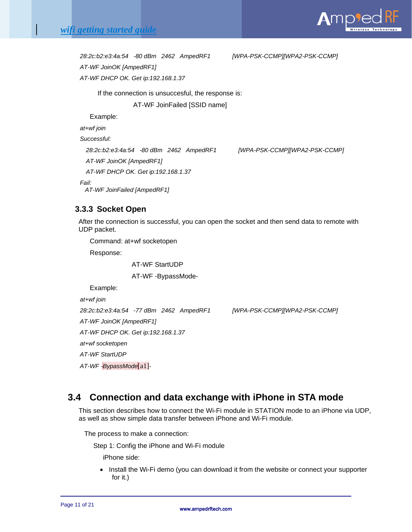

*28:2c:b2:e3:4a:54 -80 dBm 2462 AmpedRF1 [WPA-PSK-CCMP][WPA2-PSK-CCMP]*

*AT-WF JoinOK [AmpedRF1]*

*AT-WF DHCP OK. Get ip:192.168.1.37*

If the connection is unsuccesful, the response is:

AT-WF JoinFailed [SSID name]

Example:

*at+wf join*

*Successful:*

*28:2c:b2:e3:4a:54 -80 dBm 2462 AmpedRF1 [WPA-PSK-CCMP][WPA2-PSK-CCMP]*

*AT-WF JoinOK [AmpedRF1]*

*AT-WF DHCP OK. Get ip:192.168.1.37*

*Fail:*

 *AT-WF JoinFailed [AmpedRF1]*

## **3.3.3 Socket Open**

After the connection is successful, you can open the socket and then send data to remote with UDP packet.

Command: at+wf socketopen

Response:

AT-WF StartUDP

AT-WF -BypassMode-

Example:

*at+wf join*

*28:2c:b2:e3:4a:54 -77 dBm 2462 AmpedRF1 [WPA-PSK-CCMP][WPA2-PSK-CCMP]*

*AT-WF JoinOK [AmpedRF1]*

*AT-WF DHCP OK. Get ip:192.168.1.37 at+wf socketopen*

*AT-WF StartUDP*

*AT-WF -BypassMode*[a1]*-*

## **3.4 Connection and data exchange with iPhone in STA mode**

This section describes how to connect the Wi-Fi module in STATION mode to an iPhone via UDP, as well as show simple data transfer between iPhone and Wi-Fi module.

The process to make a connection:

Step 1: Config the iPhone and Wi-Fi module

iPhone side:

• Install the Wi-Fi demo (you can download it from the website or connect your supporter for it.)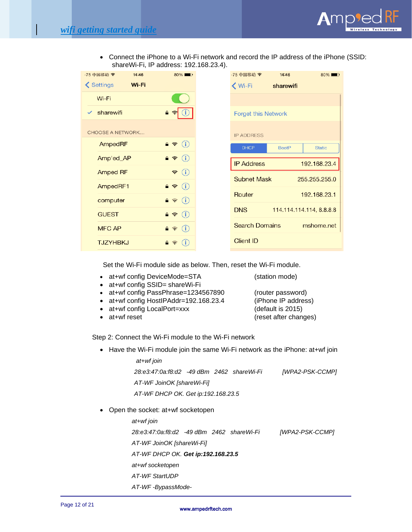

• Connect the iPhone to a Wi-Fi network and record the IP address of the iPhone (SSID: shareWi-Fi, IP address: 192.168.23.4).

| -75 中国移动 マ              | 14:46 | $80\%$                                     | -75 中国移动 今                 | 14:46                    | $80\%$        |
|-------------------------|-------|--------------------------------------------|----------------------------|--------------------------|---------------|
| <b>く Settings</b>       | Wi-Fi |                                            | <b>K</b> Wi-Fi             | sharewifi                |               |
| Wi-Fi                   |       |                                            |                            |                          |               |
| sharewifi               |       | $P \nabla$                                 | <b>Forget this Network</b> |                          |               |
| <b>CHOOSE A NETWORK</b> |       |                                            | <b>IP ADDRESS</b>          |                          |               |
| AmpedRF                 |       | $\mathbf{a} \cdot \mathbf{b}$ (i)          | <b>DHCP</b>                | <b>BootP</b>             | <b>Static</b> |
| Amp'ed_AP               |       | $\bigcirc$<br>$A \approx$                  | <b>IP Address</b>          |                          | 192.168.23.4  |
| Amped RF                |       | (i)<br>$\widehat{\mathcal{F}}$             | <b>Subnet Mask</b>         |                          | 255.255.255.0 |
| AmpedRF1                |       | $\mathbf{A} \cdot \mathbf{B}$ (i)          |                            |                          |               |
| computer                |       | $\mathbf{a} \in (i)$                       | Router                     |                          | 192.168.23.1  |
| <b>GUEST</b>            |       | $P \Leftrightarrow (i)$                    | <b>DNS</b>                 | 114.114.114.114, 8.8.8.8 |               |
| <b>MFC AP</b>           |       | (i)<br>$A \approx$                         | <b>Search Domains</b>      |                          | mshome.net    |
| <b>TJZYHBKJ</b>         |       | $\mathbf{a}$ $\widehat{\mathbf{v}}$<br>(i) | <b>Client ID</b>           |                          |               |
|                         |       |                                            |                            |                          |               |

Set the Wi-Fi module side as below. Then, reset the Wi-Fi module.

- at+wf config DeviceMode=STA (station mode)
- at+wf config SSID= shareWi-Fi
- at+wf config PassPhrase=1234567890 (router password)
- at+wf config HostIPAddr=192.168.23.4 (iPhone IP address)
- at+wf config LocalPort=xxx (default is 2015)
- at+wf reset  $(reset after changes)$

Step 2: Connect the Wi-Fi module to the Wi-Fi network

• Have the Wi-Fi module join the same Wi-Fi network as the iPhone: at+wf join

*at+wf join*

*28:e3:47:0a:f8:d2 -49 dBm 2462 shareWi-Fi [WPA2-PSK-CCMP]*

*AT-WF JoinOK [shareWi-Fi]*

*AT-WF DHCP OK. Get ip:192.168.23.5*

• Open the socket: at+wf socketopen

*at+wf join 28:e3:47:0a:f8:d2 -49 dBm 2462 shareWi-Fi [WPA2-PSK-CCMP] AT-WF JoinOK [shareWi-Fi] AT-WF DHCP OK. Get ip:192.168.23.5 at+wf socketopen AT-WF StartUDP*

*AT-WF -BypassMode-*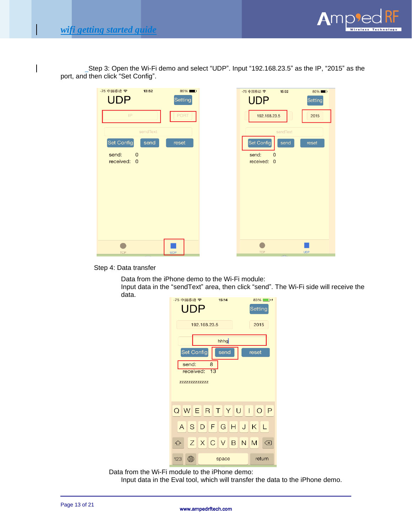

 Step 3: Open the Wi-Fi demo and select "UDP". Input "192.168.23.5" as the IP, "2015" as the port, and then click "Set Config".

| -75 中国移动 マ<br>13:52<br><b>UDP</b><br>IP | 85%<br>Setting<br>PORT | -75 中国移动 今<br>15:02<br><b>UDP</b>              | $80\%$<br>Setting |
|-----------------------------------------|------------------------|------------------------------------------------|-------------------|
| sendText<br>Set Config<br>send          | reset                  | 192.168.23.5<br>sendText<br>Set Config<br>send | 2015<br>reset     |
| send:<br>$\overline{0}$<br>received: 0  |                        | send:<br>$\mathbf{0}$<br>received: 0           |                   |
| <b>TCP</b>                              | <b>UDP</b>             | <b>TCP</b>                                     | <b>UDP</b>        |

Step 4: Data transfer

Data from the iPhone demo to the Wi-Fi module: Input data in the "sendText" area, then click "send". The Wi-Fi side will receive the data.



Data from the Wi-Fi module to the iPhone demo:

Input data in the Eval tool, which will transfer the data to the iPhone demo.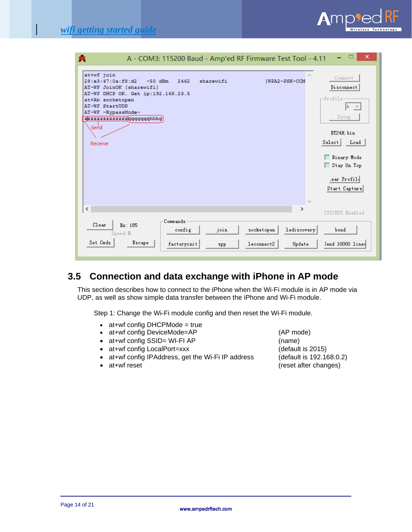| A - COM3: 115200 Baud - Amp'ed RF Firmware Test Tool - 4.11<br>噟                                                                   | ×                             |
|------------------------------------------------------------------------------------------------------------------------------------|-------------------------------|
| at+wf join<br>28:e3:47:0a:f8:d2 -50 dBm<br>sharewifi<br>2462<br>[WPA2-PSK-CCM<br>AT-WF JoinOK [sharewifi]                          | Connect<br>Disconnect         |
| AT-WF DHCP OK. Get ip:192.168.23.5<br>at+Ab socketopen<br><b>AT-WF StartUDP</b><br>AT-WF -BypassMode-<br>azzzzzzzzzzzzgqqqqqqqhhhq | -Profile<br>IA.<br>Setup      |
| Send.<br>Receive                                                                                                                   | BT24H bin<br>Select   Load    |
|                                                                                                                                    | □ Binary Mode<br>Stay On Top  |
|                                                                                                                                    | lear Profil.<br>Start Capture |
| $\,$ $\,$<br>⋗                                                                                                                     | CTS/RTS Enabled               |
| Commands<br>Clear<br>Rx: 185<br>join<br>lediscovery<br>socketopen<br>config<br>Speed: 0                                            | bond                          |
| Set Cmds<br>Escape<br>factoryinit<br>leconnect2<br>Update<br>spp                                                                   | Send 10000 lines              |

## **3.5 Connection and data exchange with iPhone in AP mode**

This section describes how to connect to the iPhone when the Wi-Fi module is in AP mode via UDP, as well as show simple data transfer between the iPhone and Wi-Fi module.

Step 1: Change the Wi-Fi module config and then reset the Wi-Fi module.

- at+wf config DHCPMode = true
- at+wf config DeviceMode=AP (AP mode)
- at+wf config SSID= WI-FI AP (name)
- at+wf config LocalPort=xxx (default is 2015)
- at+wf config IPAddress, get the Wi-Fi IP address (default is 192.168.0.2)
- 

• at+wf reset **at a** contract the contract of the contract of the changes)

 $A$ mp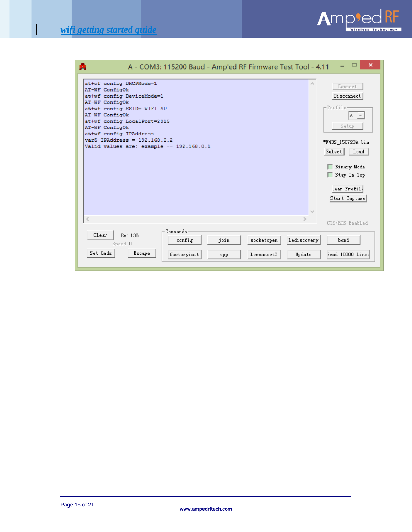$\begin{array}{c} \hline \end{array}$ 



| A - COM3: 115200 Baud - Amp'ed RF Firmware Test Tool - 4.11                                                                                                                                                                                                                                                                 | ×                                                                                                                                                                                                                                             |
|-----------------------------------------------------------------------------------------------------------------------------------------------------------------------------------------------------------------------------------------------------------------------------------------------------------------------------|-----------------------------------------------------------------------------------------------------------------------------------------------------------------------------------------------------------------------------------------------|
| at+wf config DHCPMode=1<br>AT-WF ConfigOk<br>at+wf config DeviceMode=1<br>AT-WF ConfigOk<br>at+wf config SSID= WIFI AP<br>AT-WF ConfigOk<br>at+wf config LocalPort=2015<br>AT-WF ConfigOk<br>at+wf config IPAddress<br>$vars$ IPAddress = 192.168.0.2<br>Valid values are: example -- 192.168.0.1<br>$\leq$<br>$\mathbb{R}$ | Connect<br>Disconnect<br>-Profile<br>IA.<br>$\overline{\phantom{0}}$<br>Setup<br>WF43S_150723A.bin<br>Select Load<br>□ Binary Mode<br>Stay On Top<br>lear Profil.<br>Start Capture<br>$\mathbb{I}_{\mathbb{Q},\mathbb{Z}}$<br>CTS/RTS Enabled |
| Commands<br>Clear<br>Rx: 136<br>join<br>socketopen<br>lediscovery<br>config<br>Speed: 0                                                                                                                                                                                                                                     | bond                                                                                                                                                                                                                                          |
| Set Cmds<br>Escape<br>factoryinit<br>leconnect2<br>Update<br>spp                                                                                                                                                                                                                                                            | Send 10000 lines                                                                                                                                                                                                                              |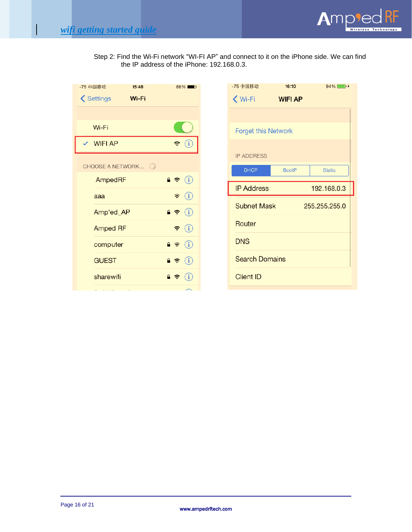

Step 2: Find the Wi-Fi network "WI-FI AP" and connect to it on the iPhone side. We can find the IP address of the iPhone: 192.168.0.3.

| -75 中国移动             | 15:48 |                                                              | 88%■                       |
|----------------------|-------|--------------------------------------------------------------|----------------------------|
| <b>くSettings</b>     | Wi-Fi |                                                              |                            |
|                      |       |                                                              |                            |
| Wi-Fi                |       |                                                              |                            |
| $\checkmark$ WIFI AP |       |                                                              | $\widehat{\mathbf{z}}$ (i  |
| CHOOSE A NETWORK     |       |                                                              |                            |
| AmpedRF              |       |                                                              |                            |
| aaa                  |       |                                                              | $\widehat{\mathbf{z}}$ (i) |
| Amp'ed_AP            |       | $\bullet \bullet (i)$                                        |                            |
| <b>Amped RF</b>      |       |                                                              | $\widehat{\mathbf{z}}$ (i) |
| computer             |       | $\blacksquare$ $\widehat{\mathbf{z}}$ $\widehat{\mathbf{u}}$ |                            |
| <b>GUEST</b>         |       | $\bullet \bullet$ (i)                                        |                            |
| sharewifi            |       | $\bullet \; \widehat{\bullet} \;$ (i                         |                            |
|                      |       |                                                              |                            |

| -75 中国移动                   | 16:10          | $94\%$ +      |
|----------------------------|----------------|---------------|
| Wi-Fi                      | <b>WIFI AP</b> |               |
|                            |                |               |
| <b>Forget this Network</b> |                |               |
| <b>IP ADDRESS</b>          |                |               |
| <b>DHCP</b>                | <b>BootP</b>   | <b>Static</b> |
| <b>IP Address</b>          |                | 192.168.0.3   |
|                            |                |               |
| <b>Subnet Mask</b>         |                | 255.255.255.0 |
| Router                     |                |               |
| <b>DNS</b>                 |                |               |
| <b>Search Domains</b>      |                |               |
| <b>Client ID</b>           |                |               |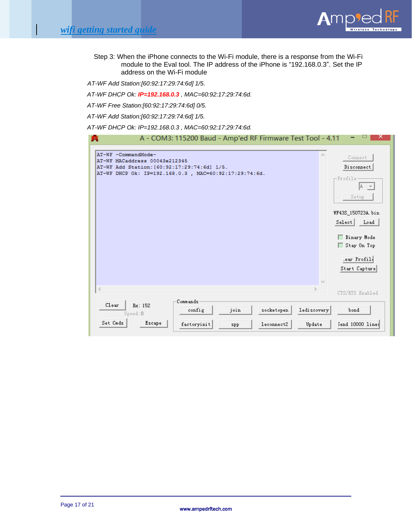

Step 3: When the iPhone connects to the Wi-Fi module, there is a response from the Wi-Fi module to the Eval tool. The IP address of the iPhone is "192.168.0.3". Set the IP address on the Wi-Fi module

*AT-WF Add Station:[60:92:17:29:74:6d] 1/5.*

*AT-WF DHCP Ok: IP=192.168.0.3 , MAC=60:92:17:29:74:6d.*

*AT-WF Free Station:[60:92:17:29:74:6d] 0/5.*

*AT-WF Add Station:[60:92:17:29:74:6d] 1/5.*

*AT-WF DHCP Ok: IP=192.168.0.3 , MAC=60:92:17:29:74:6d.*

| A - COM3: 115200 Baud - Amp'ed RF Firmware Test Tool - 4.11<br>噟                                                                                              |                                                                                                                                   |
|---------------------------------------------------------------------------------------------------------------------------------------------------------------|-----------------------------------------------------------------------------------------------------------------------------------|
| AT-WF -CommandMode-<br>AT-WF MACaddress 00043e212345<br>AT-WF Add Station: [60:92:17:29:74:6d] 1/5.<br>AT-WF DHCP Ok: IP=192.168.0.3 , MAC=60:92:17:29:74:6d. | ۸<br>Connect<br>Disconnect<br>-Profile<br>Setup<br>WF43S_150723A.bin<br>Select Load<br>Binary Mode<br>Stay On Top<br>.ear Profil. |
|                                                                                                                                                               | Start Capture<br>$\mathbf{b}_\mathrm{c}$                                                                                          |
| $\,<$<br>$\rightarrow$                                                                                                                                        | CTS/RTS Enabled                                                                                                                   |
| Commands<br>Clear<br>Rx: 152<br>lediscovery<br>socketopen<br>join<br>config<br>Speed: 0                                                                       | bond                                                                                                                              |
| Set Cmds<br>Escape<br>factoryinit<br>leconnect2<br>Update<br>spp                                                                                              | Send 10000 lines                                                                                                                  |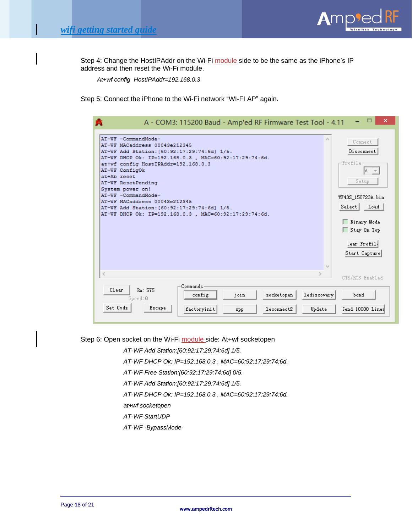

Step 4: Change the HostIPAddr on the Wi-Fi module side to be the same as the iPhone's IP address and then reset the Wi-Fi module.

 *At+wf config HostIPAddr=192.168.0.3*

Step 5: Connect the iPhone to the Wi-Fi network "WI-FI AP" again.

| AT-WF -CommandMode-                                    |          |      |            | ×           | Connect                  |
|--------------------------------------------------------|----------|------|------------|-------------|--------------------------|
| AT-WF MACaddress 00043e212345                          |          |      |            |             |                          |
| AT-WF Add Station: [60:92:17:29:74:6d] 1/5.            |          |      |            |             | Disconnect               |
| AT-WF DHCP Ok: IP=192.168.0.3 , MAC=60:92:17:29:74:6d. |          |      |            |             |                          |
| at+wf config HostIPAddr=192.168.0.3                    |          |      |            |             | -Profile                 |
| AT-WF ConfigOk                                         |          |      |            |             | IA.                      |
| at+Ab reset                                            |          |      |            |             |                          |
| AT-WF ResetPending                                     |          |      |            |             | Setup                    |
| System power on!                                       |          |      |            |             |                          |
| AT-WF -CommandMode-                                    |          |      |            |             | WF43S 150723A.bin        |
| AT-WF MACaddress 00043e212345                          |          |      |            |             |                          |
| AT-WF Add Station: [60:92:17:29:74:6d] 1/5.            |          |      |            |             | Select Load              |
| AT-WF DHCP Ok: IP=192.168.0.3 , MAC=60:92:17:29:74:6d. |          |      |            |             |                          |
|                                                        |          |      |            |             | □ Binary Mode            |
|                                                        |          |      |            |             | Stay On Top              |
|                                                        |          |      |            |             |                          |
|                                                        |          |      |            |             | Lear Profil <sub>1</sub> |
|                                                        |          |      |            |             |                          |
|                                                        |          |      |            |             | Start Capture            |
|                                                        |          |      |            |             |                          |
|                                                        |          |      |            |             |                          |
| $\leq$                                                 |          |      |            |             |                          |
|                                                        |          |      |            |             | CTS/RTS Enabled          |
| Clear<br>Rx: 575                                       | Commands |      |            |             |                          |
|                                                        | config   | join | socketopen | lediscovery | bond                     |
|                                                        |          |      |            |             |                          |
| Speed: 0                                               |          |      |            |             |                          |

Step 6: Open socket on the Wi-Fi module side: At+wf socketopen

*AT-WF Add Station:[60:92:17:29:74:6d] 1/5.*

*AT-WF DHCP Ok: IP=192.168.0.3 , MAC=60:92:17:29:74:6d.*

*AT-WF Free Station:[60:92:17:29:74:6d] 0/5.*

*AT-WF Add Station:[60:92:17:29:74:6d] 1/5.*

*AT-WF DHCP Ok: IP=192.168.0.3 , MAC=60:92:17:29:74:6d.*

*at+wf socketopen*

*AT-WF StartUDP*

*AT-WF -BypassMode-*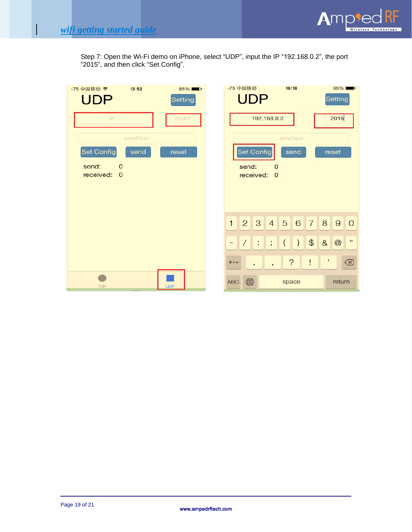I



Step 7: Open the Wi-Fi demo on iPhone, select "UDP", input the IP "192.168.0.2", the port "2015", and then click "Set Config".

| -75 中国移动 マ<br>13:52                              | $85\%$      | -75 中国移动<br>16:18<br>$95\%$                                                                           |                                |
|--------------------------------------------------|-------------|-------------------------------------------------------------------------------------------------------|--------------------------------|
| <b>UDP</b>                                       | Setting     | <b>UDP</b><br>Setting                                                                                 |                                |
| IP                                               | <b>PORT</b> | 2015<br>192.168.0.3                                                                                   |                                |
| sendText                                         |             | sendText                                                                                              |                                |
| Set Config<br>send                               | reset       | <b>Set Config</b><br>send<br>reset                                                                    |                                |
| send:<br>$\mathbf 0$<br>received:<br>$\mathbf 0$ |             | send:<br>$\mathbf{O}$<br>received:<br>$\overline{0}$                                                  |                                |
|                                                  |             |                                                                                                       |                                |
|                                                  |             |                                                                                                       |                                |
|                                                  |             |                                                                                                       |                                |
|                                                  |             | $2 \quad 3 \quad 4$<br>$\begin{array}{c} \hline \end{array}$<br>5 6<br>$\mathbf{1}$<br>8<br>90        |                                |
|                                                  |             | $\mathfrak{P}$<br>8<br>$\left( \right)$<br>@<br>$\frac{1}{2}$ :<br>$\left($<br>$\ddot{i}$<br>$\equiv$ | $^{\prime}$                    |
|                                                  |             | $\overline{\mathcal{E}}$<br>$\pmb{\cdot}$<br>Ţ<br>$#+-$<br>$\overline{1}$<br>$\bullet$                | $\textcircled{\scriptsize{x}}$ |
| <b>TCP</b>                                       | <b>UDP</b>  | ⊕<br>ABC<br>return<br>space                                                                           |                                |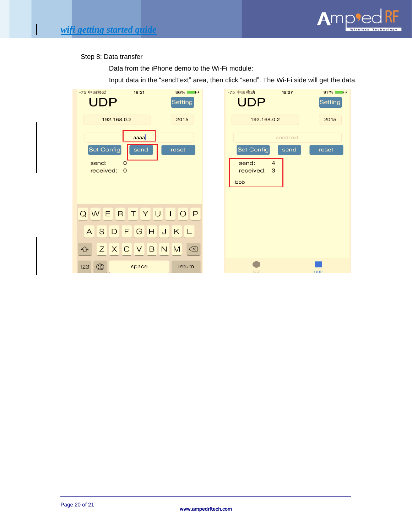

#### Step 8: Data transfer

Data from the iPhone demo to the Wi-Fi module:

Input data in the "sendText" area, then click "send". The Wi-Fi side will get the data.